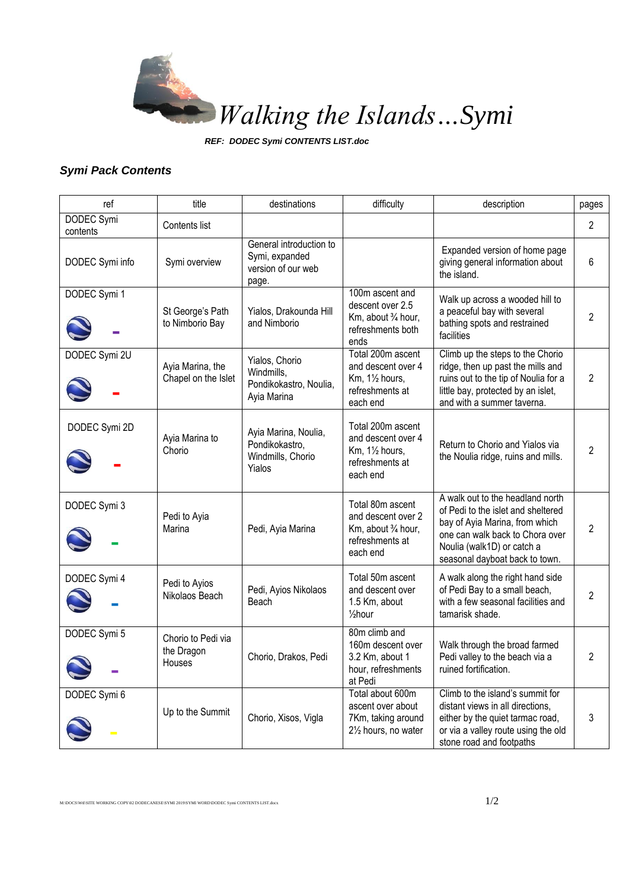

*REF: DODEC Symi CONTENTS LIST.doc*

## *Symi Pack Contents*

| ref                    | title                                      | destinations                                                             | difficulty                                                                                             | description                                                                                                                                                                                                 | pages          |
|------------------------|--------------------------------------------|--------------------------------------------------------------------------|--------------------------------------------------------------------------------------------------------|-------------------------------------------------------------------------------------------------------------------------------------------------------------------------------------------------------------|----------------|
| DODEC Symi<br>contents | Contents list                              |                                                                          |                                                                                                        |                                                                                                                                                                                                             | $\overline{2}$ |
| DODEC Symi info        | Symi overview                              | General introduction to<br>Symi, expanded<br>version of our web<br>page. |                                                                                                        | Expanded version of home page<br>giving general information about<br>the island.                                                                                                                            | 6              |
| DODEC Symi 1           | St George's Path<br>to Nimborio Bay        | Yialos, Drakounda Hill<br>and Nimborio                                   | 100m ascent and<br>descent over 2.5<br>Km, about 3/4 hour,<br>refreshments both<br>ends                | Walk up across a wooded hill to<br>a peaceful bay with several<br>bathing spots and restrained<br>facilities                                                                                                | 2              |
| DODEC Symi 2U          | Ayia Marina, the<br>Chapel on the Islet    | Yialos, Chorio<br>Windmills,<br>Pondikokastro, Noulia,<br>Ayia Marina    | Total 200m ascent<br>and descent over 4<br>Km, 11/2 hours,<br>refreshments at<br>each end              | Climb up the steps to the Chorio<br>ridge, then up past the mills and<br>ruins out to the tip of Noulia for a<br>little bay, protected by an islet,<br>and with a summer taverna.                           | 2              |
| DODEC Symi 2D          | Ayia Marina to<br>Chorio                   | Ayia Marina, Noulia,<br>Pondikokastro,<br>Windmills, Chorio<br>Yialos    | Total 200m ascent<br>and descent over 4<br>$Km$ , $1\frac{1}{2}$ hours,<br>refreshments at<br>each end | Return to Chorio and Yialos via<br>the Noulia ridge, ruins and mills.                                                                                                                                       | 2              |
| DODEC Symi 3           | Pedi to Ayia<br>Marina                     | Pedi, Ayia Marina                                                        | Total 80m ascent<br>and descent over 2<br>Km, about 3/4 hour,<br>refreshments at<br>each end           | A walk out to the headland north<br>of Pedi to the islet and sheltered<br>bay of Ayia Marina, from which<br>one can walk back to Chora over<br>Noulia (walk1D) or catch a<br>seasonal dayboat back to town. | $\overline{2}$ |
| DODEC Symi 4           | Pedi to Ayios<br>Nikolaos Beach            | Pedi, Ayios Nikolaos<br>Beach                                            | Total 50m ascent<br>and descent over<br>1.5 Km, about<br>$\frac{1}{2}$ hour                            | A walk along the right hand side<br>of Pedi Bay to a small beach,<br>with a few seasonal facilities and<br>tamarisk shade.                                                                                  | 2              |
| DODEC Symi 5           | Chorio to Pedi via<br>the Dragon<br>Houses | Chorio, Drakos, Pedi                                                     | 80m climb and<br>160m descent over<br>3.2 Km, about 1<br>hour, refreshments<br>at Pedi                 | Walk through the broad farmed<br>Pedi valley to the beach via a<br>ruined fortification.                                                                                                                    | 2              |
| DODEC Symi 6           | Up to the Summit                           | Chorio, Xisos, Vigla                                                     | Total about 600m<br>ascent over about<br>7Km, taking around<br>21/2 hours, no water                    | Climb to the island's summit for<br>distant views in all directions,<br>either by the quiet tarmac road,<br>or via a valley route using the old<br>stone road and footpaths                                 | 3              |